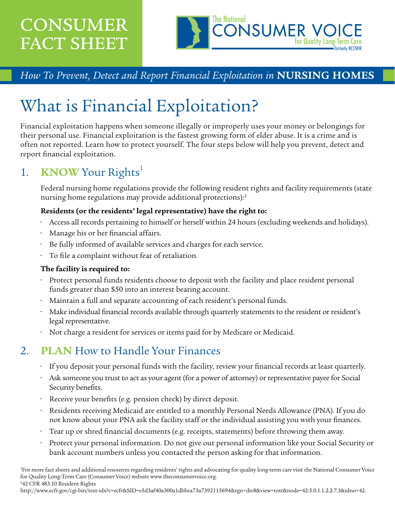## CONSUMER FACT SHEET



## *How To Prevent, Detect and Report Financial Exploitation in* **NURSING HOMES**

# What is Financial Exploitation?

Financial exploitation happens when someone illegally or improperly uses your money or belongings for their personal use. Financial exploitation is the fastest growing form of elder abuse. It is a crime and is often not reported. Learn how to protect yourself. The four steps below will help you prevent, detect and report financial exploitation.

## 1. **KNOW** Your Rights<sup>1</sup>

Federal nursing home regulations provide the following resident rights and facility requirements (state nursing home regulations may provide additional protections):2

#### **Residents (or the residents' legal representative) have the right to:**

- Access all records pertaining to himself or herself within 24 hours (excluding weekends and holidays).
- Manage his or her financial affairs.
- Be fully informed of available services and charges for each service.
- To file a complaint without fear of retaliation.

#### **The facility is required to:**

- Protect personal funds residents choose to deposit with the facility and place resident personal funds greater than \$50 into an interest bearing account.
- Maintain a full and separate accounting of each resident's personal funds.
- Make individual financial records available through quarterly statements to the resident or resident's legal representative.
- Not charge a resident for services or items paid for by Medicare or Medicaid.

### 2. **PLAN** How to Handle Your Finances

- If you deposit your personal funds with the facility, review your financial records at least quarterly.
- Ask someone you trust to act as your agent (for a power of attorney) or representative payee for Social Security benefits.
- Receive your benefits (e.g. pension check) by direct deposit.
- Residents receiving Medicaid are entitled to a monthly Personal Needs Allowance (PNA). If you do not know about your PNA ask the facility staff or the individual assisting you with your finances.
- Tear up or shred financial documents (e.g. receipts, statements) before throwing them away.
- Protect your personal information. Do not give out personal information like your Social Security or bank account numbers unless you contacted the person asking for that information.

1 For more fact sheets and additional resources regarding residents' rights and advocating for quality long-term care visit the National Consumer Voice for Quality Long-Term Care (Consumer Voice) website [www.theconsumervoice.org.](http://www.theconsumervoice.org) 2 42 CFR 483.10 Resident Rights

[http://www.ecfr.gov/cgi-bin/text-idx?c=ecfr&SID=e5d3af40a300a1dbbea73a7392115694&rgn=div8&view=text&node=42:5.0.1.1.2.2.7.3&idno=42.](http://www.ecfr.gov/cgi-bin/text-idx?c=ecfr&SID=e5d3af40a300a1dbbea73a7392115694&rgn=div8&view=text&node=42:5.0.1.1.2.2.7.3&idno=42)